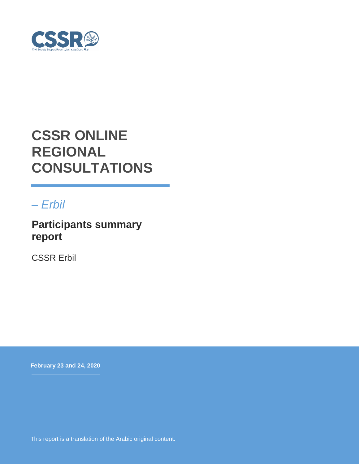

# **CSSR ONLINE REGIONAL CONSULTATIONS**

## *– Erbil*

**Participants summary report**

CSSR Erbil

**February 23 and 24, 2020**

This report is a translation of the Arabic original content.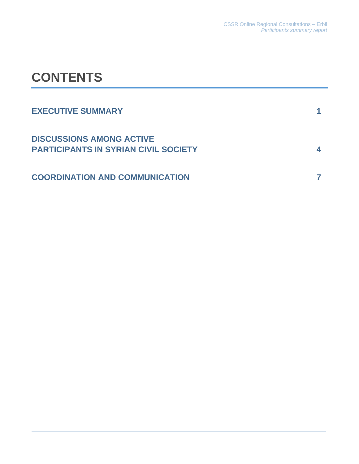# **CONTENTS**

| <b>EXECUTIVE SUMMARY</b>                                                       |  |
|--------------------------------------------------------------------------------|--|
| <b>DISCUSSIONS AMONG ACTIVE</b><br><b>PARTICIPANTS IN SYRIAN CIVIL SOCIETY</b> |  |
| <b>COORDINATION AND COMMUNICATION</b>                                          |  |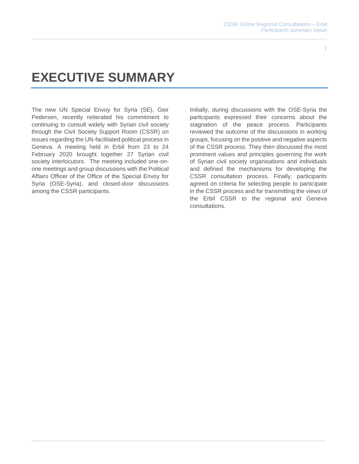#### 1

# **EXECUTIVE SUMMARY**

The new UN Special Envoy for Syria (SE), Geir Pedersen, recently reiterated his commitment to continuing to consult widely with Syrian civil society through the Civil Society Support Room (CSSR) on issues regarding the UN-facilitated political process in Geneva. A meeting held in Erbil from 23 to 24 February 2020 brought together 27 Syrian civil society interlocutors. The meeting included one-onone meetings and group discussions with the Political Affairs Officer of the Office of the Special Envoy for Syria (OSE-Syria), and closed-door discussions among the CSSR participants.

Initially, during discussions with the OSE-Syria the participants expressed their concerns about the stagnation of the peace process. Participants reviewed the outcome of the discussions in working groups, focusing on the positive and negative aspects of the CSSR process. They then discussed the most prominent values and principles governing the work of Syrian civil society organisations and individuals and defined the mechanisms for developing the CSSR consultation process. Finally, participants agreed on criteria for selecting people to participate in the CSSR process and for transmitting the views of the Erbil CSSR to the regional and Geneva consultations.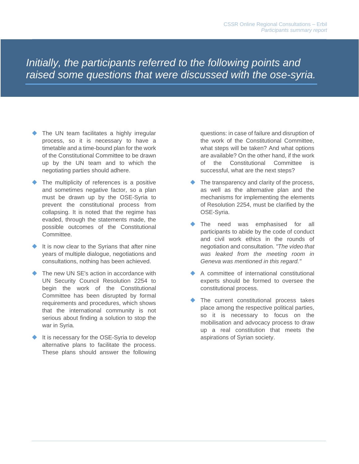*Initially, the participants referred to the following points and raised some questions that were discussed with the ose-syria.*

- ◆ The UN team facilitates a highly irregular process, so it is necessary to have a timetable and a time-bound plan for the work of the Constitutional Committee to be drawn up by the UN team and to which the negotiating parties should adhere.
- The multiplicity of references is a positive and sometimes negative factor, so a plan must be drawn up by the OSE-Syria to prevent the constitutional process from collapsing. It is noted that the regime has evaded, through the statements made, the possible outcomes of the Constitutional Committee.
- It is now clear to the Syrians that after nine years of multiple dialogue, negotiations and consultations, nothing has been achieved.
- The new UN SE's action in accordance with UN Security Council Resolution 2254 to begin the work of the Constitutional Committee has been disrupted by formal requirements and procedures, which shows that the international community is not serious about finding a solution to stop the war in Syria.
- It is necessary for the OSE-Syria to develop alternative plans to facilitate the process. These plans should answer the following

questions: in case of failure and disruption of the work of the Constitutional Committee, what steps will be taken? And what options are available? On the other hand, if the work of the Constitutional Committee is successful, what are the next steps?

- ◆ The transparency and clarity of the process, as well as the alternative plan and the mechanisms for implementing the elements of Resolution 2254, must be clarified by the OSE-Syria.
- The need was emphasised for all participants to abide by the code of conduct and civil work ethics in the rounds of negotiation and consultation. *"The video that was leaked from the meeting room in Geneva was mentioned in this regard."*
- A committee of international constitutional experts should be formed to oversee the constitutional process.
- ◆ The current constitutional process takes place among the respective political parties, so it is necessary to focus on the mobilisation and advocacy process to draw up a real constitution that meets the aspirations of Syrian society.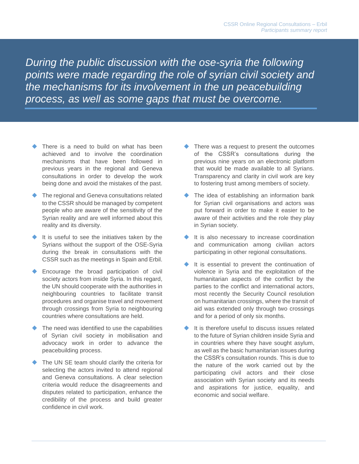**1.** *points were made regarding the role of syrian civil society and During the public discussion with the ose-syria the following the mechanisms for its involvement in the un peacebuilding process, as well as some gaps that must be overcome.*

- There is a need to build on what has been achieved and to involve the coordination mechanisms that have been followed in previous years in the regional and Geneva consultations in order to develop the work being done and avoid the mistakes of the past.
- The regional and Geneva consultations related to the CSSR should be managed by competent people who are aware of the sensitivity of the Syrian reality and are well informed about this reality and its diversity.
- It is useful to see the initiatives taken by the Syrians without the support of the OSE-Syria during the break in consultations with the CSSR such as the meetings in Spain and Erbil.
- Encourage the broad participation of civil society actors from inside Syria. In this regard, the UN should cooperate with the authorities in neighbouring countries to facilitate transit procedures and organise travel and movement through crossings from Syria to neighbouring countries where consultations are held.
- The need was identified to use the capabilities of Syrian civil society in mobilisation and advocacy work in order to advance the peacebuilding process.
- The UN SE team should clarify the criteria for selecting the actors invited to attend regional and Geneva consultations. A clear selection criteria would reduce the disagreements and disputes related to participation, enhance the credibility of the process and build greater confidence in civil work.
- ◆ There was a request to present the outcomes of the CSSR's consultations during the previous nine years on an electronic platform that would be made available to all Syrians. Transparency and clarity in civil work are key to fostering trust among members of society.
- ◆ The idea of establishing an information bank for Syrian civil organisations and actors was put forward in order to make it easier to be aware of their activities and the role they play in Syrian society.
- It is also necessary to increase coordination and communication among civilian actors participating in other regional consultations.
- It is essential to prevent the continuation of violence in Syria and the exploitation of the humanitarian aspects of the conflict by the parties to the conflict and international actors, most recently the Security Council resolution on humanitarian crossings, where the transit of aid was extended only through two crossings and for a period of only six months.
- It is therefore useful to discuss issues related to the future of Syrian children inside Syria and in countries where they have sought asylum, as well as the basic humanitarian issues during the CSSR's consultation rounds. This is due to the nature of the work carried out by the participating civil actors and their close association with Syrian society and its needs and aspirations for justice, equality, and economic and social welfare.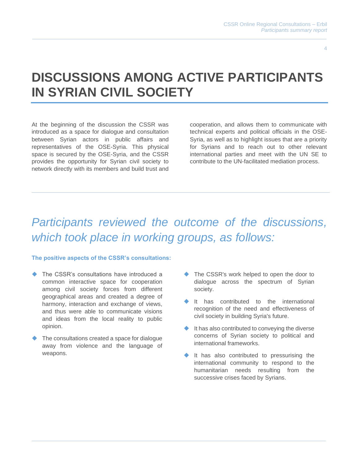4

## **DISCUSSIONS AMONG ACTIVE PARTICIPANTS IN SYRIAN CIVIL SOCIETY**

At the beginning of the discussion the CSSR was introduced as a space for dialogue and consultation between Syrian actors in public affairs and representatives of the OSE-Syria. This physical space is secured by the OSE-Syria, and the CSSR provides the opportunity for Syrian civil society to network directly with its members and build trust and

cooperation, and allows them to communicate with technical experts and political officials in the OSE-Syria, as well as to highlight issues that are a priority for Syrians and to reach out to other relevant international parties and meet with the UN SE to contribute to the UN-facilitated mediation process.

## *Participants reviewed the outcome of the discussions, which took place in working groups, as follows:*

### **The positive aspects of the CSSR's consultations:**

- The CSSR's consultations have introduced a common interactive space for cooperation among civil society forces from different geographical areas and created a degree of harmony, interaction and exchange of views. and thus were able to communicate visions and ideas from the local reality to public opinion.
- ◆ The consultations created a space for dialogue away from violence and the language of weapons.
- ◆ The CSSR's work helped to open the door to dialogue across the spectrum of Syrian society.
- It has contributed to the international recognition of the need and effectiveness of civil society in building Syria's future.
- ◆ It has also contributed to conveying the diverse concerns of Syrian society to political and international frameworks.
- It has also contributed to pressurising the international community to respond to the humanitarian needs resulting from the successive crises faced by Syrians.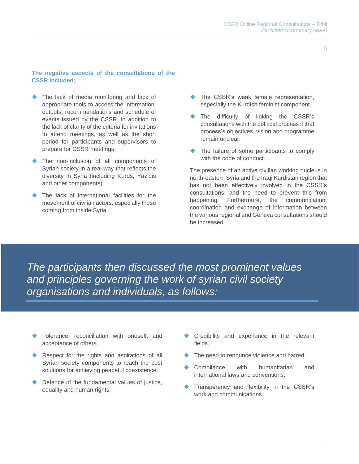### **The negative aspects of the consultations of the CSSR included:**

- The lack of media monitoring and lack of appropriate tools to access the information, outputs, recommendations and schedule of events issued by the CSSR, in addition to the lack of clarity of the criteria for invitations to attend meetings, as well as the short period for participants and supervisors to prepare for CSSR meetings.
- ◆ The non-inclusion of all components of Syrian society in a real way that reflects the diversity in Syria (including Kurds, Yazidis and other components).
- The lack of international facilities for the movement of civilian actors, especially those coming from inside Syria.
- The CSSR's weak female representation, especially the Kurdish feminist component.
- The difficulty of linking the CSSR's consultations with the political process if that process's objectives, vision and programme remain unclear.
- ◆ The failure of some participants to comply with the code of conduct.

The presence of an active civilian working nucleus in north-eastern Syria and the Iraqi Kurdistan region that has not been effectively involved in the CSSR's consultations, and the need to prevent this from happening. Furthermore, the communication, coordination and exchange of information between the various regional and Geneva consultations should be increased.

*The participants then discussed the most prominent values and principles governing the work of syrian civil society organisations and individuals, as follows:*

- Tolerance, reconciliation with oneself, and acceptance of others.
- Respect for the rights and aspirations of all Syrian society components to reach the best solutions for achieving peaceful coexistence.
- Defence of the fundamental values of justice, equality and human rights.
- Credibility and experience in the relevant fields.
- The need to renounce violence and hatred.
- Compliance with humanitarian and international laws and conventions.
- Transparency and flexibility in the CSSR's work and communications.

5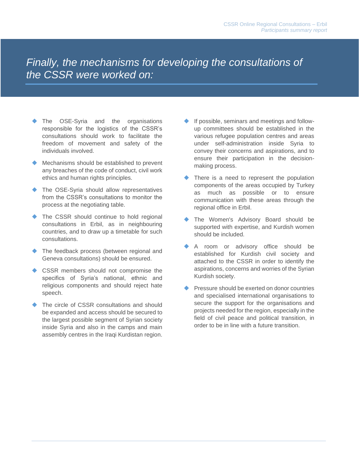*Finally, the mechanisms for developing the consultations of the CSSR were worked on:*

- The OSE-Syria and the organisations responsible for the logistics of the CSSR's consultations should work to facilitate the freedom of movement and safety of the individuals involved.
- ◆ Mechanisms should be established to prevent any breaches of the code of conduct, civil work ethics and human rights principles.
- ◆ The OSE-Syria should allow representatives from the CSSR's consultations to monitor the process at the negotiating table.
- ◆ The CSSR should continue to hold regional consultations in Erbil, as in neighbouring countries, and to draw up a timetable for such consultations.
- ◆ The feedback process (between regional and Geneva consultations) should be ensured.
- ◆ CSSR members should not compromise the specifics of Syria's national, ethnic and religious components and should reject hate speech.
- The circle of CSSR consultations and should be expanded and access should be secured to the largest possible segment of Syrian society inside Syria and also in the camps and main assembly centres in the Iraqi Kurdistan region.
- If possible, seminars and meetings and followup committees should be established in the various refugee population centres and areas under self-administration inside Syria to convey their concerns and aspirations, and to ensure their participation in the decisionmaking process.
- There is a need to represent the population components of the areas occupied by Turkey as much as possible or to ensure communication with these areas through the regional office in Erbil.
- The Women's Advisory Board should be supported with expertise, and Kurdish women should be included.
- A room or advisory office should be established for Kurdish civil society and attached to the CSSR in order to identify the aspirations, concerns and worries of the Syrian Kurdish society.
- Pressure should be exerted on donor countries and specialised international organisations to secure the support for the organisations and projects needed for the region, especially in the field of civil peace and political transition, in order to be in line with a future transition.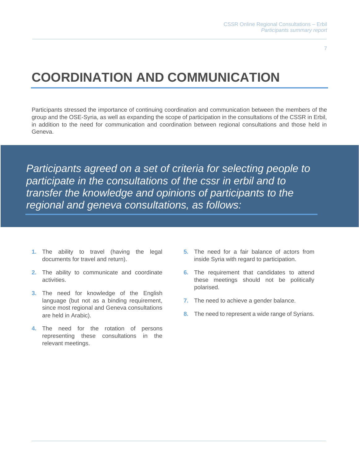7

## **COORDINATION AND COMMUNICATION**

Participants stressed the importance of continuing coordination and communication between the members of the group and the OSE-Syria, as well as expanding the scope of participation in the consultations of the CSSR in Erbil, in addition to the need for communication and coordination between regional consultations and those held in Geneva.

*Participants agreed on a set of criteria for selecting people to participate in the consultations of the cssr in erbil and to transfer the knowledge and opinions of participants to the regional and geneva consultations, as follows:*

- **1.** The ability to travel (having the legal documents for travel and return).
- **2.** The ability to communicate and coordinate activities.
- **3.** The need for knowledge of the English language (but not as a binding requirement, since most regional and Geneva consultations are held in Arabic).
- **4.** The need for the rotation of persons representing these consultations in the relevant meetings.
- **5.** The need for a fair balance of actors from inside Syria with regard to participation.
- **6.** The requirement that candidates to attend these meetings should not be politically polarised.
- **7.** The need to achieve a gender balance.
- **8.** The need to represent a wide range of Syrians.